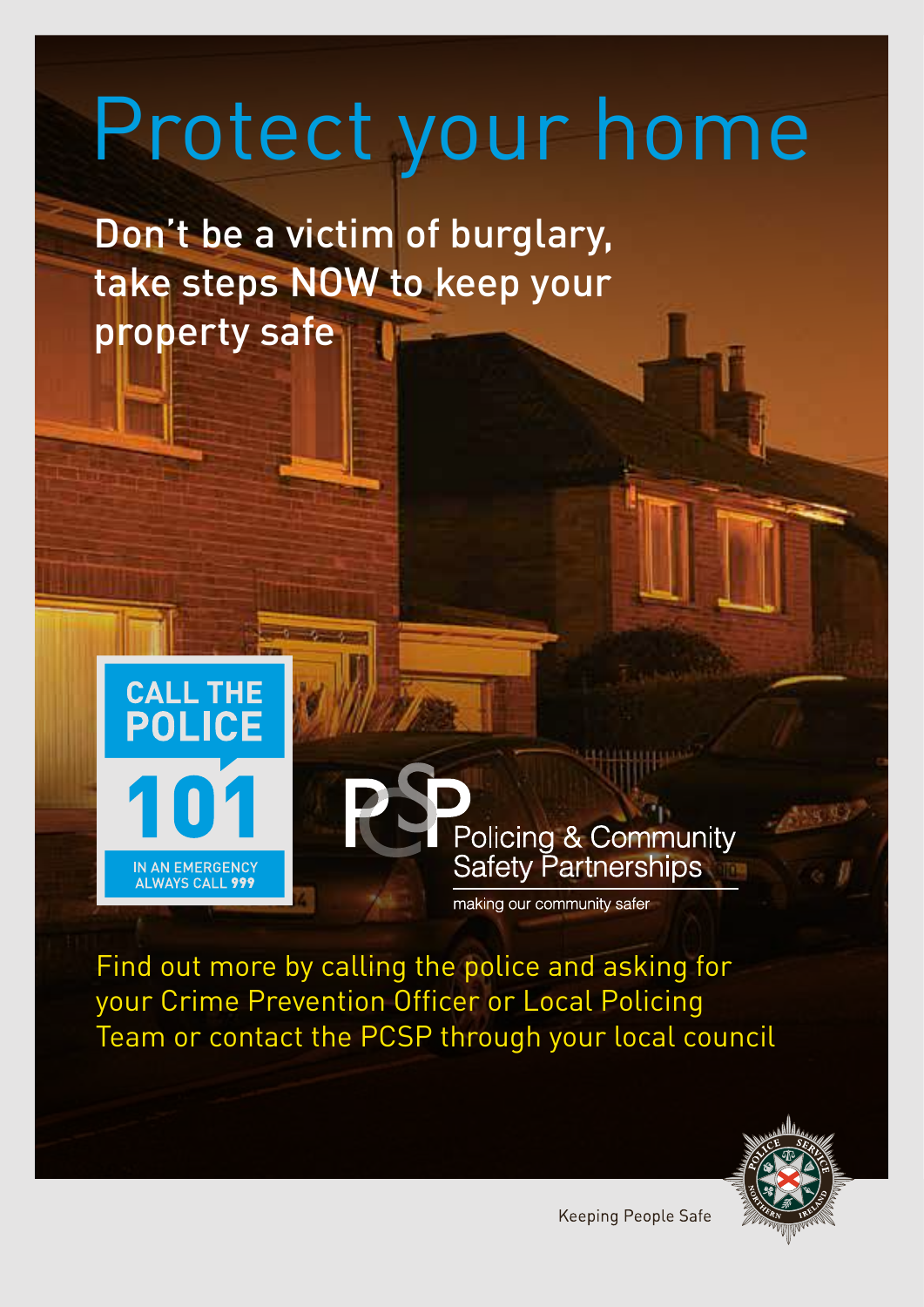# Protect your home

Don't be a victim of burglary, take steps NOW to keep your property safe



**Policing & Community Safety Partnerships** 

making our community safer

Find out more by calling the police and asking for your Crime Prevention Officer or Local Policing Team or contact the PCSP through your local council



Keeping People Safe